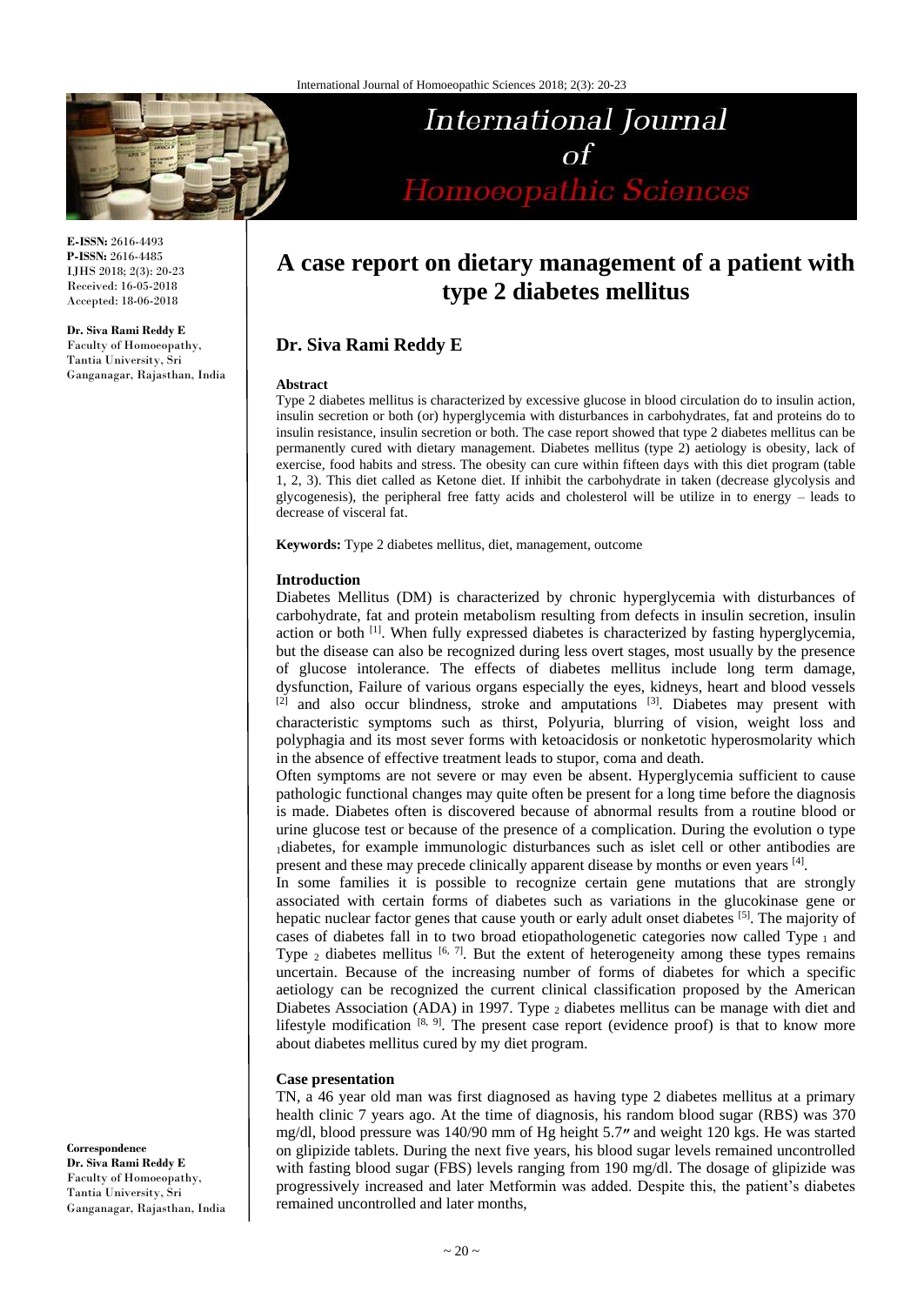

**E-ISSN:** 2616-4493 **P-ISSN:** 2616-4485 IJHS 2018; 2(3): 20-23 Received: 16-05-2018 Accepted: 18-06-2018

**Dr. Siva Rami Reddy E** Faculty of Homoeopathy, Tantia University, Sri Ganganagar, Rajasthan, India

# International Journal  $\alpha f$ Homoeopathic Sciences

## **A case report on dietary management of a patient with type 2 diabetes mellitus**

### **Dr. Siva Rami Reddy E**

#### **Abstract**

Type 2 diabetes mellitus is characterized by excessive glucose in blood circulation do to insulin action, insulin secretion or both (or) hyperglycemia with disturbances in carbohydrates, fat and proteins do to insulin resistance, insulin secretion or both. The case report showed that type 2 diabetes mellitus can be permanently cured with dietary management. Diabetes mellitus (type 2) aetiology is obesity, lack of exercise, food habits and stress. The obesity can cure within fifteen days with this diet program (table 1, 2, 3). This diet called as Ketone diet. If inhibit the carbohydrate in taken (decrease glycolysis and glycogenesis), the peripheral free fatty acids and cholesterol will be utilize in to energy – leads to decrease of visceral fat.

**Keywords:** Type 2 diabetes mellitus, diet, management, outcome

#### **Introduction**

Diabetes Mellitus (DM) is characterized by chronic hyperglycemia with disturbances of carbohydrate, fat and protein metabolism resulting from defects in insulin secretion, insulin action or both <sup>[1]</sup>. When fully expressed diabetes is characterized by fasting hyperglycemia, but the disease can also be recognized during less overt stages, most usually by the presence of glucose intolerance. The effects of diabetes mellitus include long term damage, dysfunction, Failure of various organs especially the eyes, kidneys, heart and blood vessels  $[2]$  and also occur blindness, stroke and amputations  $[3]$ . Diabetes may present with characteristic symptoms such as thirst, Polyuria, blurring of vision, weight loss and polyphagia and its most sever forms with ketoacidosis or nonketotic hyperosmolarity which in the absence of effective treatment leads to stupor, coma and death.

Often symptoms are not severe or may even be absent. Hyperglycemia sufficient to cause pathologic functional changes may quite often be present for a long time before the diagnosis is made. Diabetes often is discovered because of abnormal results from a routine blood or urine glucose test or because of the presence of a complication. During the evolution o type <sup>1</sup>diabetes, for example immunologic disturbances such as islet cell or other antibodies are present and these may precede clinically apparent disease by months or even years [4].

In some families it is possible to recognize certain gene mutations that are strongly associated with certain forms of diabetes such as variations in the glucokinase gene or hepatic nuclear factor genes that cause youth or early adult onset diabetes [5]. The majority of cases of diabetes fall in to two broad etiopathologenetic categories now called Type 1 and Type  $_2$  diabetes mellitus  $[6, 7]$ . But the extent of heterogeneity among these types remains uncertain. Because of the increasing number of forms of diabetes for which a specific aetiology can be recognized the current clinical classification proposed by the American Diabetes Association (ADA) in 1997. Type 2 diabetes mellitus can be manage with diet and lifestyle modification  $[8, 9]$ . The present case report (evidence proof) is that to know more about diabetes mellitus cured by my diet program.

#### **Case presentation**

TN, a 46 year old man was first diagnosed as having type 2 diabetes mellitus at a primary health clinic 7 years ago. At the time of diagnosis, his random blood sugar (RBS) was 370 mg/dl, blood pressure was 140/90 mm of Hg height 5.7*״* and weight 120 kgs. He was started on glipizide tablets. During the next five years, his blood sugar levels remained uncontrolled with fasting blood sugar (FBS) levels ranging from 190 mg/dl. The dosage of glipizide was progressively increased and later Metformin was added. Despite this, the patient's diabetes remained uncontrolled and later months,

**Correspondence Dr. Siva Rami Reddy E** Faculty of Homoeopathy, Tantia University, Sri Ganganagar, Rajasthan, India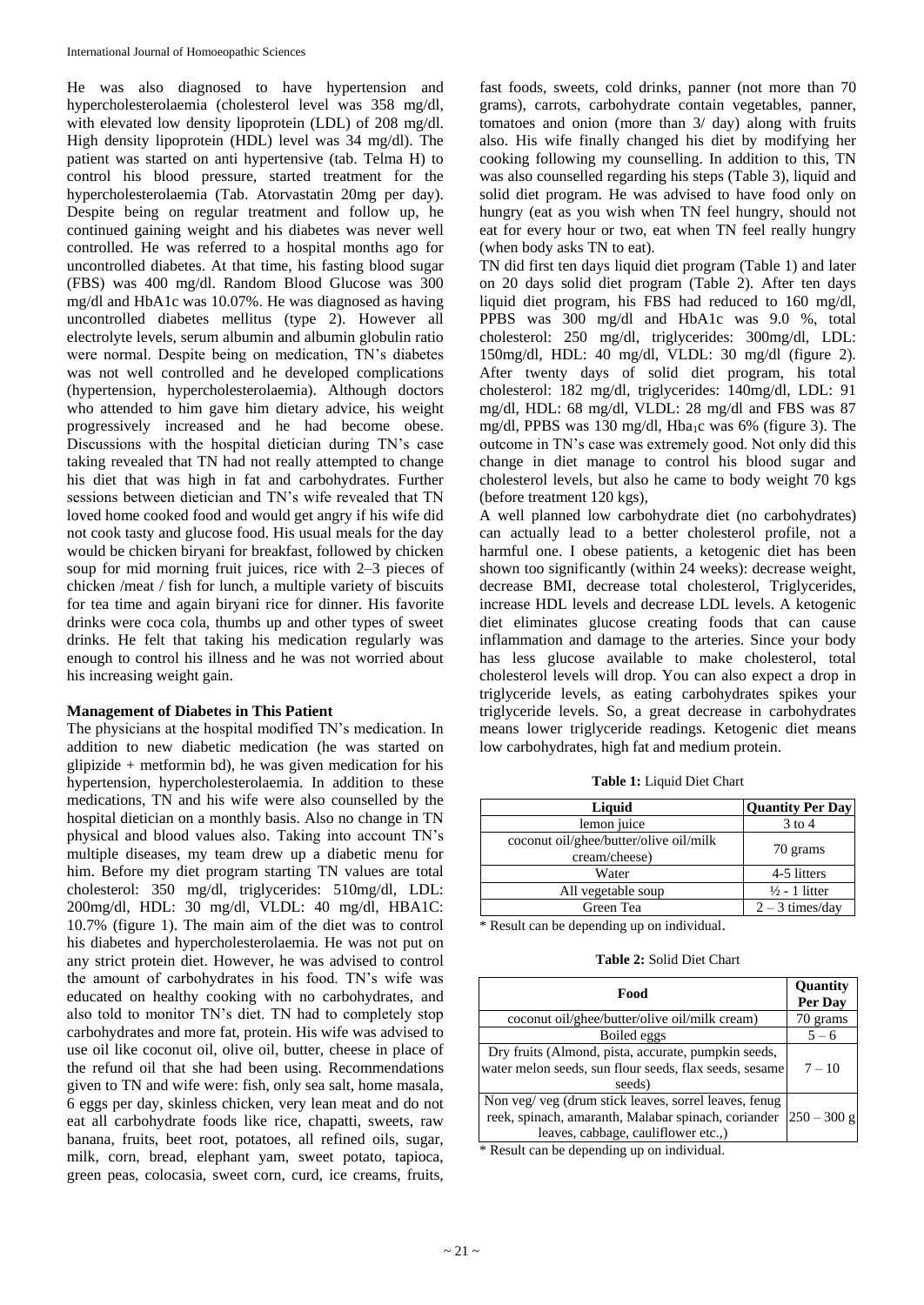He was also diagnosed to have hypertension and hypercholesterolaemia (cholesterol level was 358 mg/dl, with elevated low density lipoprotein (LDL) of 208 mg/dl. High density lipoprotein (HDL) level was 34 mg/dl). The patient was started on anti hypertensive (tab. Telma H) to control his blood pressure, started treatment for the hypercholesterolaemia (Tab. Atorvastatin 20mg per day). Despite being on regular treatment and follow up, he continued gaining weight and his diabetes was never well controlled. He was referred to a hospital months ago for uncontrolled diabetes. At that time, his fasting blood sugar (FBS) was 400 mg/dl. Random Blood Glucose was 300 mg/dl and HbA1c was 10.07%. He was diagnosed as having uncontrolled diabetes mellitus (type 2). However all electrolyte levels, serum albumin and albumin globulin ratio were normal. Despite being on medication, TN's diabetes was not well controlled and he developed complications (hypertension, hypercholesterolaemia). Although doctors who attended to him gave him dietary advice, his weight progressively increased and he had become obese. Discussions with the hospital dietician during TN's case taking revealed that TN had not really attempted to change his diet that was high in fat and carbohydrates. Further sessions between dietician and TN's wife revealed that TN loved home cooked food and would get angry if his wife did not cook tasty and glucose food. His usual meals for the day would be chicken biryani for breakfast, followed by chicken soup for mid morning fruit juices, rice with 2–3 pieces of chicken /meat / fish for lunch, a multiple variety of biscuits for tea time and again biryani rice for dinner. His favorite drinks were coca cola, thumbs up and other types of sweet drinks. He felt that taking his medication regularly was enough to control his illness and he was not worried about his increasing weight gain.

#### **Management of Diabetes in This Patient**

The physicians at the hospital modified TN's medication. In addition to new diabetic medication (he was started on glipizide + metformin bd), he was given medication for his hypertension, hypercholesterolaemia. In addition to these medications, TN and his wife were also counselled by the hospital dietician on a monthly basis. Also no change in TN physical and blood values also. Taking into account TN's multiple diseases, my team drew up a diabetic menu for him. Before my diet program starting TN values are total cholesterol: 350 mg/dl, triglycerides: 510mg/dl, LDL: 200mg/dl, HDL: 30 mg/dl, VLDL: 40 mg/dl, HBA1C: 10.7% (figure 1). The main aim of the diet was to control his diabetes and hypercholesterolaemia. He was not put on any strict protein diet. However, he was advised to control the amount of carbohydrates in his food. TN's wife was educated on healthy cooking with no carbohydrates, and also told to monitor TN's diet. TN had to completely stop carbohydrates and more fat, protein. His wife was advised to use oil like coconut oil, olive oil, butter, cheese in place of the refund oil that she had been using. Recommendations given to TN and wife were: fish, only sea salt, home masala, 6 eggs per day, skinless chicken, very lean meat and do not eat all carbohydrate foods like rice, chapatti, sweets, raw banana, fruits, beet root, potatoes, all refined oils, sugar, milk, corn, bread, elephant yam, sweet potato, tapioca, green peas, colocasia, sweet corn, curd, ice creams, fruits,

fast foods, sweets, cold drinks, panner (not more than 70 grams), carrots, carbohydrate contain vegetables, panner, tomatoes and onion (more than 3/ day) along with fruits also. His wife finally changed his diet by modifying her cooking following my counselling. In addition to this, TN was also counselled regarding his steps (Table 3), liquid and solid diet program. He was advised to have food only on hungry (eat as you wish when TN feel hungry, should not eat for every hour or two, eat when TN feel really hungry (when body asks TN to eat).

TN did first ten days liquid diet program (Table 1) and later on 20 days solid diet program (Table 2). After ten days liquid diet program, his FBS had reduced to 160 mg/dl, PPBS was 300 mg/dl and HbA1c was 9.0 %, total cholesterol: 250 mg/dl, triglycerides: 300mg/dl, LDL: 150mg/dl, HDL: 40 mg/dl, VLDL: 30 mg/dl (figure 2). After twenty days of solid diet program, his total cholesterol: 182 mg/dl, triglycerides: 140mg/dl, LDL: 91 mg/dl, HDL: 68 mg/dl, VLDL: 28 mg/dl and FBS was 87 mg/dl, PPBS was 130 mg/dl, Hba<sub>1</sub>c was 6% (figure 3). The outcome in TN's case was extremely good. Not only did this change in diet manage to control his blood sugar and cholesterol levels, but also he came to body weight 70 kgs (before treatment 120 kgs),

A well planned low carbohydrate diet (no carbohydrates) can actually lead to a better cholesterol profile, not a harmful one. I obese patients, a ketogenic diet has been shown too significantly (within 24 weeks): decrease weight, decrease BMI, decrease total cholesterol, Triglycerides, increase HDL levels and decrease LDL levels. A ketogenic diet eliminates glucose creating foods that can cause inflammation and damage to the arteries. Since your body has less glucose available to make cholesterol, total cholesterol levels will drop. You can also expect a drop in triglyceride levels, as eating carbohydrates spikes your triglyceride levels. So, a great decrease in carbohydrates means lower triglyceride readings. Ketogenic diet means low carbohydrates, high fat and medium protein.

**Table 1:** Liquid Diet Chart

| Liquid                                                  | <b>Quantity Per Day</b>  |
|---------------------------------------------------------|--------------------------|
| lemon juice                                             | $3$ to 4                 |
| coconut oil/ghee/butter/olive oil/milk<br>cream/cheese) | 70 grams                 |
| Water                                                   | 4-5 litters              |
| All vegetable soup                                      | $\frac{1}{2}$ - 1 litter |
| Green Tea                                               | $2 - 3$ times/day        |

\* Result can be depending up on individual.

| <b>Table 2: Solid Diet Chart</b> |  |  |
|----------------------------------|--|--|
|----------------------------------|--|--|

| Food                                                   | Quantity<br>Per Day |
|--------------------------------------------------------|---------------------|
| coconut oil/ghee/butter/olive oil/milk cream)          | 70 grams            |
| Boiled eggs                                            | $5 - 6$             |
| Dry fruits (Almond, pista, accurate, pumpkin seeds,    |                     |
| water melon seeds, sun flour seeds, flax seeds, sesame | $7 - 10$            |
| seeds)                                                 |                     |
| Non veg/ veg (drum stick leaves, sorrel leaves, fenug  |                     |
| reek, spinach, amaranth, Malabar spinach, coriander    | $250 - 300$ g       |
| leaves, cabbage, cauliflower etc.,)                    |                     |

\* Result can be depending up on individual.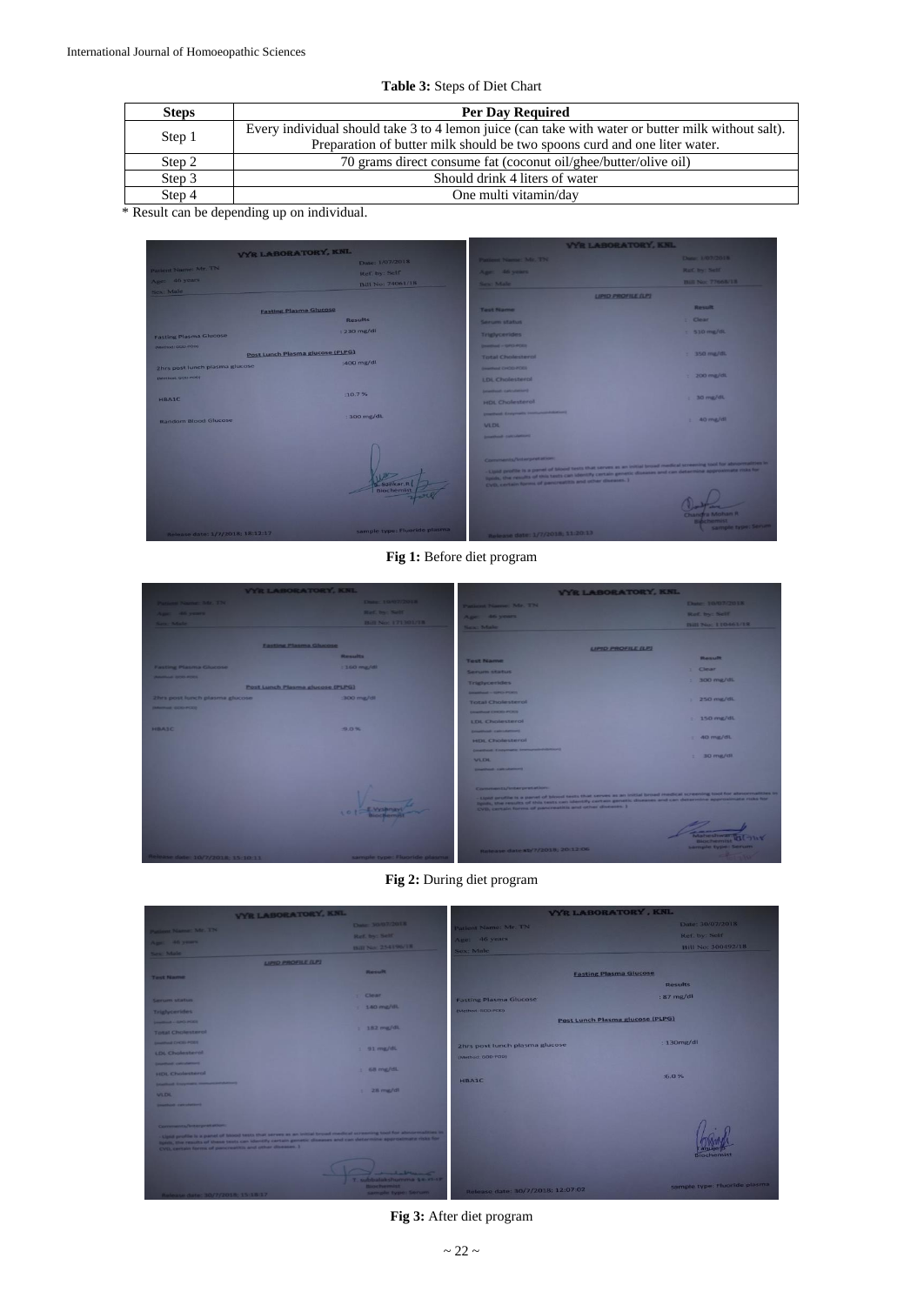| <b>Steps</b> | <b>Per Day Required</b>                                                                            |
|--------------|----------------------------------------------------------------------------------------------------|
|              | Every individual should take 3 to 4 lemon juice (can take with water or butter milk without salt). |
| Step 1       | Preparation of butter milk should be two spoons curd and one liter water.                          |
| Step 2       | 70 grams direct consume fat (coconut oil/ghee/butter/olive oil)                                    |
| Step 3       | Should drink 4 liters of water                                                                     |
| Step 4       | One multi vitamin/day                                                                              |

**Table 3:** Steps of Diet Chart

\* Result can be depending up on individual.

| <b>VYR LABORATORY, KNL</b>       |                               | <b>VYR LABORATORY, KNL</b>                                                                                                                                                                                                                                                                                                     |                                         |
|----------------------------------|-------------------------------|--------------------------------------------------------------------------------------------------------------------------------------------------------------------------------------------------------------------------------------------------------------------------------------------------------------------------------|-----------------------------------------|
|                                  | Date: 1/07/2018               | Patient Name: Mr. TN                                                                                                                                                                                                                                                                                                           | Date: 1/07/2018                         |
| Patient Name: Mr. TN             | Ref. by: Self                 | Age: 46 years                                                                                                                                                                                                                                                                                                                  | Ref. by: Self.                          |
| Age: 46 years                    | Bill No: 74061/18             | Sex: Male                                                                                                                                                                                                                                                                                                                      | <b>Bill No: 77668/18</b>                |
| Sex: Male                        |                               | <b>UPID PROFILE (UP)</b>                                                                                                                                                                                                                                                                                                       |                                         |
| <b>Fasting Plasma Glucose</b>    |                               | <b>Test Name</b>                                                                                                                                                                                                                                                                                                               | Result                                  |
|                                  | <b>Results</b>                | <b>Serum status</b>                                                                                                                                                                                                                                                                                                            | : Clear                                 |
| <b>Fasting Plasma Glucose</b>    | $: 230$ mg/dl                 | <b>Triglycerides</b>                                                                                                                                                                                                                                                                                                           | $\leq$ 510 mg/dL                        |
| (Method) COO POD)                |                               | Deadlined - GPO-PODS                                                                                                                                                                                                                                                                                                           |                                         |
| Post Lunch Plasma glucose (PLPG) | :400 mg/dl                    | <b>Total Cholesterol</b>                                                                                                                                                                                                                                                                                                       | $= 350$ mg/di.                          |
| 2hrs post lunch plasma glucose   |                               | <b>Branford CHOO PCKY</b>                                                                                                                                                                                                                                                                                                      |                                         |
| (Method: GOD-POD)                |                               | <b>LDL</b> Cholesterol                                                                                                                                                                                                                                                                                                         | $\frac{1}{200}$ mg/dl.                  |
|                                  | :10.7%                        | <b>Imatted Officers</b>                                                                                                                                                                                                                                                                                                        |                                         |
| <b>HBAIC</b>                     |                               | <b>HDL Cholesterol</b>                                                                                                                                                                                                                                                                                                         | $\approx 30$ mg/dL                      |
| <b>Random Blood Glucose</b>      | : 300 mg/dL                   | <b>Constraint Environments International Professor (Inc.)</b>                                                                                                                                                                                                                                                                  | $1.40$ mg/dl                            |
|                                  |                               | <b>VLDL</b>                                                                                                                                                                                                                                                                                                                    |                                         |
|                                  |                               | <b>Designation of the Automobile</b>                                                                                                                                                                                                                                                                                           |                                         |
|                                  | Sankar R<br><b>Biochemist</b> | Comments/Interpretation:<br>Clipsed prestite is a panel of blood tests that serves as an initial broad medical screening tool for abnormalities in<br>Spids, the results of this tests can identify certain genetic diseases and can determine approximate mas for<br>EVD, certain forms of percreatitis and other diseases. ) |                                         |
| Release date: 1/7/2018; 18:12:17 | sample type: Fluoride plasma  | Release date: 1/7/2018; 11:20:13                                                                                                                                                                                                                                                                                               | <b>Binchemist</b><br>sample type; Serum |

**Fig 1:** Before diet program

|                                   | <b>VYR LABORATORY, KNL</b>       | <b>VYR LABORATORY, KNL</b>                                                                                                                                                                                                                                                                          |                                            |
|-----------------------------------|----------------------------------|-----------------------------------------------------------------------------------------------------------------------------------------------------------------------------------------------------------------------------------------------------------------------------------------------------|--------------------------------------------|
| <b>Parison Navne Mr. TN</b>       | Date: 10/07/2018                 | Patient Name: Mr. TN                                                                                                                                                                                                                                                                                | Date: 10/07/2018                           |
| April 46 years                    | Right by Salt                    | Age: 46 years                                                                                                                                                                                                                                                                                       | Ref. by: Self                              |
| Sea Male                          | <b>Bill No: 171301/18</b>        | <b>News: Made-</b>                                                                                                                                                                                                                                                                                  | <b>Bill No: 110461/18</b>                  |
|                                   |                                  |                                                                                                                                                                                                                                                                                                     |                                            |
|                                   | <b>Easting Plasma Glucose</b>    | <b>LIPID PROFILE (LP)</b>                                                                                                                                                                                                                                                                           |                                            |
|                                   | <b>Results</b>                   | <b>Test Name</b>                                                                                                                                                                                                                                                                                    | <b>Result</b>                              |
| <b>Fasting Plasma Glucose</b>     | $: 160$ mg/dl                    | Service status                                                                                                                                                                                                                                                                                      | $2$ Clear                                  |
| <b>SAMPLE GOOD POOR !!</b>        |                                  | <b>Triglycerides</b>                                                                                                                                                                                                                                                                                | $1.300$ mg/dL                              |
|                                   | Post Lunch Plasma glucose (PLPG) | <b>Emanthewal - North PORTS</b>                                                                                                                                                                                                                                                                     |                                            |
| 2hrs post lunch plasma glucose    | :300 mg/dl                       | <b>Total Cholesterol</b>                                                                                                                                                                                                                                                                            | $250 \,$ mg/dl.                            |
| <b>IMARTHAM: GOO PCKIE</b>        |                                  | <b><i>Constituted CHOIS POINT</i></b>                                                                                                                                                                                                                                                               |                                            |
|                                   |                                  | <b>LDL</b> Cholesterol                                                                                                                                                                                                                                                                              | $= 150$ mg/dL                              |
| HBAIC                             | $9.0\%$                          | <b>Emathioph Calculations</b>                                                                                                                                                                                                                                                                       |                                            |
|                                   |                                  | <b>HDL Cholesterol</b>                                                                                                                                                                                                                                                                              | $=40$ $mg/dL$                              |
|                                   |                                  | <b>Emething Engineers Investmentational</b>                                                                                                                                                                                                                                                         | $\pm$ 30 mg/d).                            |
|                                   |                                  | <b>VEDL</b>                                                                                                                                                                                                                                                                                         |                                            |
|                                   |                                  | <b>Smathnest Auto Automotive</b>                                                                                                                                                                                                                                                                    |                                            |
|                                   |                                  | Comments/Interpretation                                                                                                                                                                                                                                                                             |                                            |
| 501                               |                                  | . Upod profile is a panel of blood tests that serves as an initial broad medical screening tool for abnormalities in<br>ligads, the results of this tests can identify certain genetic diseases and can determine approximate risks for<br>CVD, certain forms of pancreatitis and other diseases. ) |                                            |
|                                   |                                  | Release date: \$1/7/2018; 20:12:06                                                                                                                                                                                                                                                                  | <b>Bicuchurenist</b><br>sample type: Serum |
| Release date: 10/7/2018; 15:10:11 | sample type: Fluoride plasma     |                                                                                                                                                                                                                                                                                                     |                                            |

**Fig 2:** During diet program

| <b>VYR LABORATORY, KNL</b>                                                                                                                                                                                                                                                                          |                                                                                          | <b>VYR LABORATORY, KNL</b>        |                                  |
|-----------------------------------------------------------------------------------------------------------------------------------------------------------------------------------------------------------------------------------------------------------------------------------------------------|------------------------------------------------------------------------------------------|-----------------------------------|----------------------------------|
| Patient Name: Mr. TN                                                                                                                                                                                                                                                                                | Date: 30/07/2018                                                                         | Patient Name: Mr. TN              | Date: 30/07/2018                 |
|                                                                                                                                                                                                                                                                                                     | Ref. by Self                                                                             | Age: 46 years                     | Ref. by: Self                    |
| Age: 46 years                                                                                                                                                                                                                                                                                       | <b>Bill No: 254196/18</b>                                                                | Sex: Male                         | Bill No: 300492/18               |
| Sex: Male<br><b>LIPID PROFILE (LP)</b>                                                                                                                                                                                                                                                              |                                                                                          |                                   |                                  |
|                                                                                                                                                                                                                                                                                                     | <b>Result</b>                                                                            |                                   |                                  |
| <b>Test Name</b>                                                                                                                                                                                                                                                                                    |                                                                                          |                                   | <b>Fasting Plasma Glucose</b>    |
|                                                                                                                                                                                                                                                                                                     |                                                                                          |                                   | <b>Results</b>                   |
| Serum status                                                                                                                                                                                                                                                                                        | $1$ Clear                                                                                | <b>Fasting Plasma Glucose</b>     | : 87 mg/dl                       |
| <b>Triglycerides</b>                                                                                                                                                                                                                                                                                | $= 140$ mg/dl.                                                                           | (Method: GOD-POD)                 |                                  |
| <b>SAMPAIN - SPO POET</b>                                                                                                                                                                                                                                                                           |                                                                                          |                                   | Post Lunch Plasma glucose (PLPG) |
| <b>Total Cholesterol</b>                                                                                                                                                                                                                                                                            | $1.182$ mg/dL                                                                            |                                   |                                  |
| <b>ENGINEERING</b>                                                                                                                                                                                                                                                                                  |                                                                                          | 2hrs post lunch plasma glucose    | $: 130$ mg/dl                    |
| <b>LDL</b> Cholesterol                                                                                                                                                                                                                                                                              | $1.91$ mg/dL                                                                             | (Method: GOD-POD)                 |                                  |
| <b>Engineering Scientists</b>                                                                                                                                                                                                                                                                       |                                                                                          |                                   |                                  |
| HDL Cholesterol                                                                                                                                                                                                                                                                                     | 1 68 mg/dL                                                                               |                                   | :6.0%                            |
|                                                                                                                                                                                                                                                                                                     |                                                                                          | <b>HBAIC</b>                      |                                  |
| <b>VLDL</b>                                                                                                                                                                                                                                                                                         | $\pm$ 28 $\text{mg/dl}$                                                                  |                                   |                                  |
| <b>Smartford Exhibitions</b>                                                                                                                                                                                                                                                                        |                                                                                          |                                   |                                  |
|                                                                                                                                                                                                                                                                                                     |                                                                                          |                                   |                                  |
| Conversents/Interpretation:                                                                                                                                                                                                                                                                         |                                                                                          |                                   |                                  |
| Light profile is a panel of blood tests that serves as an initial broad medical screening tool for abnormalities in<br>Relific, the results of these tests can identify certain genetic diseases and can determine approximate risks for<br>CVD, certain forms of pancreatins and other diseases. ) |                                                                                          |                                   | <b>Biochemist</b>                |
|                                                                                                                                                                                                                                                                                                     |                                                                                          |                                   |                                  |
| <b>ALL MOUTH CONVENITIONS IN A REPORT</b>                                                                                                                                                                                                                                                           | <b>Andelson</b><br>T. subbalakshumma se xi-ri<br><b>Blochemist</b><br>sample type: Serum | Release date: 30/7/2018; 12:07:02 | sample type: Fluoride plasma     |

**Fig 3:** After diet program